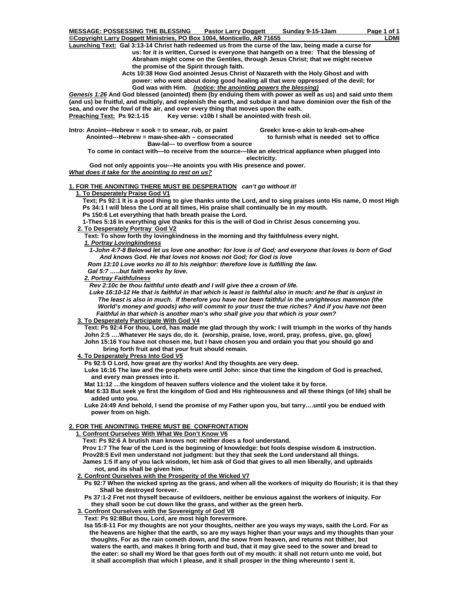**Copyright Larry Doggett Ministries, PO Box 1004, Monticello, AR 71655** LOMI **Launching Text: Gal 3:13-14 Christ hath redeemed us from the curse of the law, being made a curse for us: for it is written, Cursed is everyone that hangeth on a tree: That the blessing of Abraham might come on the Gentiles, through Jesus Christ; that we might receive the promise of the Spirit through faith.** 

 **Acts 10:38 How God anointed Jesus Christ of Nazareth with the Holy Ghost and with power: who went about doing good healing all that were oppressed of the devil; for God was with Him.** *(notice: the anointing powers the blessing)*

*Genesis 1:26* **And God blessed (anointed) them (by enduing them with power as well as us) and said unto them (and us) be fruitful, and multiply, and replenish the earth, and subdue it and have dominion over the fish of the sea, and over the fowl of the air, and over every thing that moves upon the eath.**  Preaching Text: Ps 92:1-15 Key verse: v10b I shall be anointed with fresh oil.

Intro: Anoint—Hebrew = sook = to smear, rub, or paint **Greek= kree-o akin to krah-om-ahee Anointed---Hebrew = maw-shee-akh – consecrated to furnish what is needed set to office** 

 **Baw-lal--- to overflow from a source** 

 **To come in contact with—to receive from the source---like an electrical appliance when plugged into electricity.** 

 **God not only appoints you---He anoints you with His presence and power.** 

*What does it take for the anointing to rest on us?*

## **1. FOR THE ANOINTING THERE MUST BE DESPERATION** *can't go without it!*

#### **1. To Desperately Praise God V1**

 **Text; Ps 92:1 It is a good thing to give thanks unto the Lord, and to sing praises unto His name, O most High Ps 34:1 I will bless the Lord at all times, His praise shall continually be in my mouth.** 

 **Ps 150:6 Let everything that hath breath praise the Lord.** 

 **1-Thes 5:16 In everything give thanks for this is the will of God in Christ Jesus concerning you.** 

## **2. To Desperately Portray God V2**

 **Text: To show forth thy lovingkindness in the morning and thy faithfulness every night.** 

## *1. Portray Lovingkindness*

 *1-John 4:7-8 Beloved let us love one another: for love is of God; and everyone that loves is born of God And knows God. He that loves not knows not God; for God is love* 

 *Rom 13:10 Love works no ill to his neighbor: therefore love is fulfilling the law.* 

 *Gal 5:7 …..but faith works by love.* 

## *2. Portray Faithfulness*

 *Rev 2:10c be thou faithful unto death and I will give thee a crown of life.* 

 *Luke 16:10-12 He that is faithful in that which is least is faithful also in much: and he that is unjust in The least is also in much. If therefore you have not been faithful in the unrighteous mammon (the World's money and goods) who will commit to your trust the true riches? And if you have not been Faithful in that which is another man's who shall give you that which is your own?* 

### **3. To Desperately Participate With God V4**

 **Text: Ps 92:4 For thou, Lord, has made me glad through thy work: I will triumph in the works of thy hands John 2:5 ….Whatever He says do, do it. (worship, praise, love, word, pray, profess, give, go, glow) John 15:16 You have not chosen me, but I have chosen you and ordain you that you should go and** 

### **bring forth fruit and that your fruit should remain.**

 **4. To Desperately Press Into God V5**

 **Ps 92:5 O Lord, how great are thy works! And thy thoughts are very deep.** 

 **Luke 16:16 The law and the prophets were until John: since that time the kingdom of God is preached, and every man presses into it.** 

 **Mat 11:12 …the kingdom of heaven suffers violence and the violent take it by force.** 

 **Mat 6:33 But seek ye first the kingdom of God and His righteousness and all these things (of life) shall be added unto you.** 

 **Luke 24:49 And behold, I send the promise of my Father upon you, but tarry….until you be endued with power from on high.** 

#### **2. FOR THE ANOINTING THERE MUST BE CONFRONTATION**

 **1. Confront Ourselves With What We Don't Know V6**

 **Text: Ps 92:6 A brutish man knows not: neither does a fool understand.** 

 **Prov 1:7 The fear of the Lord is the beginning of knowledge: but fools despise wisdom & instruction. Prov28:5 Evil men understand not judgment: but they that seek the Lord understand all things. James 1:5 If any of you lack wisdom, let him ask of God that gives to all men liberally, and upbraids not, and its shall be given him.** 

#### **2. Confront Ourselves with the Prosperity of the Wicked V7**

 **Ps 92:7 When the wicked spring as the grass, and when all the workers of iniquity do flourish; it is that they Shall be destroyed forever.** 

 **Ps 37:1-2 Fret not thyself because of evildoers, neither be envious against the workers of iniquity. For they shall soon be cut down like the grass, and wither as the green herb.** 

### **3. Confront Ourselves with the Sovereignty of God V8**

 **Text: Ps 92:8But thou, Lord, are most high forevermore.** 

 **Isa 55:8-11 For my thoughts are not your thoughts, neither are you ways my ways, saith the Lord. For as the heavens are higher that the earth, so are my ways higher than your ways and my thoughts than your thoughts. For as the rain cometh down, and the snow from heaven, and returns not thither, but waters the earth, and makes it bring forth and bud, that it may give seed to the sower and bread to the eater: so shall my Word be that goes forth out of my mouth: it shall not return unto me void, but it shall accomplish that which I please, and it shall prosper in the thing whereunto I sent it.**